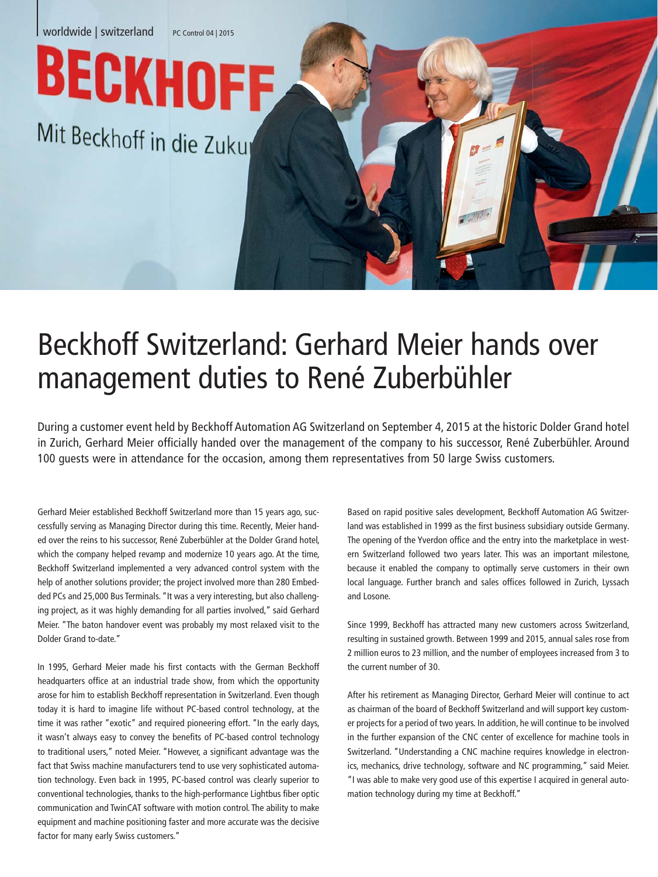

## Beckhoff Switzerland: Gerhard Meier hands over management duties to René Zuberbühler

During a customer event held by Beckhoff Automation AG Switzerland on September 4, 2015 at the historic Dolder Grand hotel in Zurich, Gerhard Meier officially handed over the management of the company to his successor, René Zuberbühler. Around 100 guests were in attendance for the occasion, among them representatives from 50 large Swiss customers.

Gerhard Meier established Beckhoff Switzerland more than 15 years ago, successfully serving as Managing Director during this time. Recently, Meier handed over the reins to his successor, René Zuberbühler at the Dolder Grand hotel, which the company helped revamp and modernize 10 years ago. At the time, Beckhoff Switzerland implemented a very advanced control system with the help of another solutions provider; the project involved more than 280 Embedded PCs and 25,000 Bus Terminals. "It was a very interesting, but also challenging project, as it was highly demanding for all parties involved," said Gerhard Meier. "The baton handover event was probably my most relaxed visit to the Dolder Grand to-date."

In 1995, Gerhard Meier made his first contacts with the German Beckhoff headquarters office at an industrial trade show, from which the opportunity arose for him to establish Beckhoff representation in Switzerland. Even though today it is hard to imagine life without PC-based control technology, at the time it was rather "exotic" and required pioneering effort. "In the early days, it wasn't always easy to convey the benefits of PC-based control technology to traditional users," noted Meier. "However, a significant advantage was the fact that Swiss machine manufacturers tend to use very sophisticated automation technology. Even back in 1995, PC-based control was clearly superior to conventional technologies, thanks to the high-performance Lightbus fiber optic communication and TwinCAT software with motion control. The ability to make equipment and machine positioning faster and more accurate was the decisive factor for many early Swiss customers."

Based on rapid positive sales development, Beckhoff Automation AG Switzerland was established in 1999 as the first business subsidiary outside Germany. The opening of the Yverdon office and the entry into the marketplace in western Switzerland followed two years later. This was an important milestone, because it enabled the company to optimally serve customers in their own local language. Further branch and sales offices followed in Zurich, Lyssach and Losone.

Since 1999, Beckhoff has attracted many new customers across Switzerland, resulting in sustained growth. Between 1999 and 2015, annual sales rose from 2 million euros to 23 million, and the number of employees increased from 3 to the current number of 30.

After his retirement as Managing Director, Gerhard Meier will continue to act as chairman of the board of Beckhoff Switzerland and will support key customer projects for a period of two years. In addition, he will continue to be involved in the further expansion of the CNC center of excellence for machine tools in Switzerland. "Understanding a CNC machine requires knowledge in electronics, mechanics, drive technology, software and NC programming," said Meier. "I was able to make very good use of this expertise I acquired in general automation technology during my time at Beckhoff."